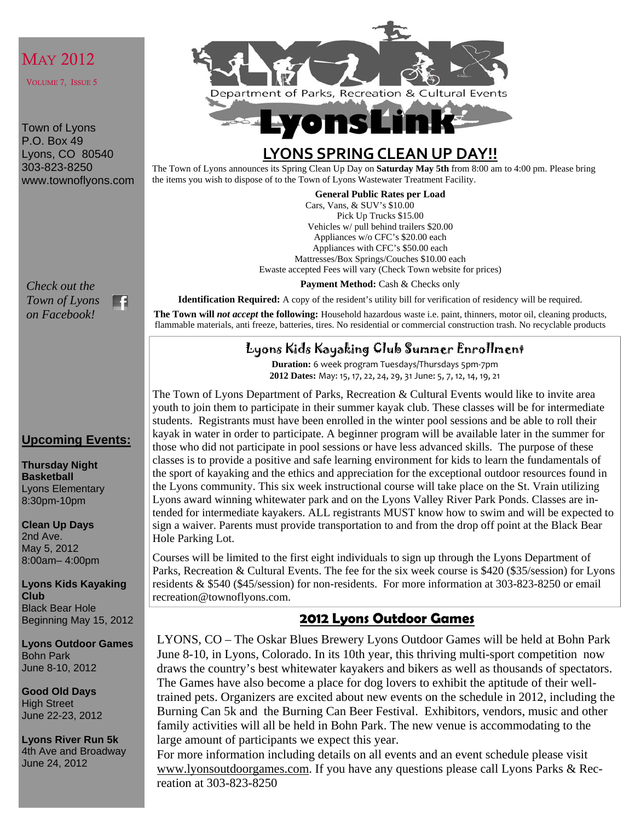## MAY 2012

VOLUME 7, ISSUE 5

Town of Lyons P.O. Box 49 Lyons, CO 80540 303-823-8250 www.townoflyons.com

*Check out the Town of Lyons on Facebook!* 

E1

#### **Upcoming Events:**

**Thursday Night Basketball**  Lyons Elementary 8:30pm-10pm

**Clean Up Days**  2nd Ave. May 5, 2012 8:00am– 4:00pm

**Lyons Kids Kayaking Club**  Black Bear Hole Beginning May 15, 2012

**Lyons Outdoor Games**  Bohn Park June 8-10, 2012

**Good Old Days**  High Street June 22-23, 2012

**Lyons River Run 5k**  4th Ave and Broadway June 24, 2012



# **Lyons Li**

## **LYONS SPRING CLEAN UP DAY!!**

The Town of Lyons announces its Spring Clean Up Day on **Saturday May 5th** from 8:00 am to 4:00 pm. Please bring the items you wish to dispose of to the Town of Lyons Wastewater Treatment Facility.

**General Public Rates per Load** 

Cars, Vans, & SUV's \$10.00 Pick Up Trucks \$15.00 Vehicles w/ pull behind trailers \$20.00 Appliances w/o CFC's \$20.00 each Appliances with CFC's \$50.00 each Mattresses/Box Springs/Couches \$10.00 each Ewaste accepted Fees will vary (Check Town website for prices)

Payment Method: Cash & Checks only

**Identification Required:** A copy of the resident's utility bill for verification of residency will be required.

**The Town will** *not accept* **the following:** Household hazardous waste i.e. paint, thinners, motor oil, cleaning products, flammable materials, anti freeze, batteries, tires. No residential or commercial construction trash. No recyclable products

#### Lyons Kids Kayaking Club Summer Enrollment

**Duration:** 6 week program Tuesdays/Thursdays 5pm‐7pm **2012 Dates:** May: 15, 17, 22, 24, 29, 31 June: 5, 7, 12, 14, 19, 21

The Town of Lyons Department of Parks, Recreation & Cultural Events would like to invite area youth to join them to participate in their summer kayak club. These classes will be for intermediate students. Registrants must have been enrolled in the winter pool sessions and be able to roll their kayak in water in order to participate. A beginner program will be available later in the summer for those who did not participate in pool sessions or have less advanced skills. The purpose of these classes is to provide a positive and safe learning environment for kids to learn the fundamentals of the sport of kayaking and the ethics and appreciation for the exceptional outdoor resources found in the Lyons community. This six week instructional course will take place on the St. Vrain utilizing Lyons award winning whitewater park and on the Lyons Valley River Park Ponds. Classes are intended for intermediate kayakers. ALL registrants MUST know how to swim and will be expected to sign a waiver. Parents must provide transportation to and from the drop off point at the Black Bear Hole Parking Lot.

Courses will be limited to the first eight individuals to sign up through the Lyons Department of Parks, Recreation & Cultural Events. The fee for the six week course is \$420 (\$35/session) for Lyons residents & \$540 (\$45/session) for non-residents. For more information at 303-823-8250 or email recreation@townoflyons.com.

#### **2012 Lyons Outdoor Games**

LYONS, CO – The Oskar Blues Brewery Lyons Outdoor Games will be held at Bohn Park June 8-10, in Lyons, Colorado. In its 10th year, this thriving multi-sport competition now draws the country's best whitewater kayakers and bikers as well as thousands of spectators. The Games have also become a place for dog lovers to exhibit the aptitude of their welltrained pets. Organizers are excited about new events on the schedule in 2012, including the Burning Can 5k and the Burning Can Beer Festival. Exhibitors, vendors, music and other family activities will all be held in Bohn Park. The new venue is accommodating to the large amount of participants we expect this year.

For more information including details on all events and an event schedule please visit www.lyonsoutdoorgames.com. If you have any questions please call Lyons Parks & Recreation at 303-823-8250